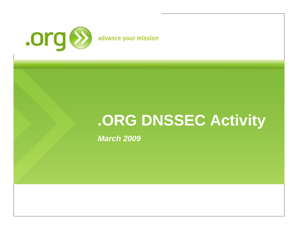

# **.ORG DNSSEC Activity**

*March 2009*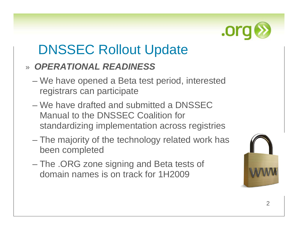

### DNSSEC Rollout Update

#### » *OPERATIONAL READINESS*

- – We have opened a Beta test period, interested registrars can participate
- We have drafted and submitted a DNSSEC Manual to the DNSSEC Coalition for standardizing implementation across registries
- – The majority of the technology related work has been completed
- – The .ORG zone signing and Beta tests of domain names is on track for 1H2009

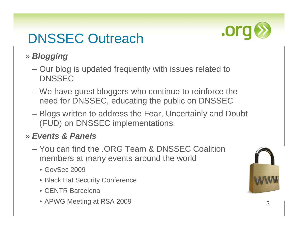

## DNSSEC Outreach

#### » *Blogging*

- Our blog is updated frequently with issues related to DNSSEC
- $\mathcal{L}_{\mathcal{A}}$  We have guest bloggers who continue to reinforce the need for DNSSEC, educating the public on DNSSEC
- Blogs written to address the Fear, Uncertainly and Doubt (FUD) on DNSSEC implementations.

#### » *Events & Panels*

- You can find the .ORG Team & DNSSEC Coalition members at many events around the world
	- GovSec 2009
	- Black Hat Security Conference
	- CENTR Barcelona
	- APWG Meeting at RSA 2009